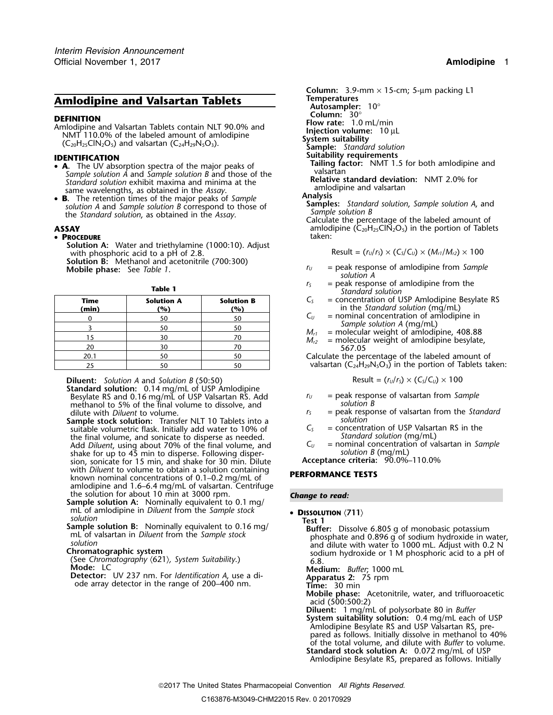# **Amlodipine and Valsartan Tablets**

**DEFINITION**<br>
Amlodipine and Valsartan Tablets contain NLT 90.0% and<br>
NMT 110.0% of the labeled amount of amlodipine<br>  $(C_{20}H_{25}CIN_2O_5)$  and valsartan  $(C_{24}H_{29}N_5O_3)$ .<br> **IDENTIEICATION**<br> **IDENTIEICATION**<br> **IDENTIEIC** 

- 
- solution A and Sample solution B correspond to those of **Samples:** Standard solution, Sample solution A, and<br>the Standard solution, as obtained in the Assay.<br>Calculate the percentage of the labeled amount of

### • PROCEDURE **taken:** taken: taken: taken: taken: taken: taken: taken: taken: taken: taken: taken: taken: taken: taken: taken: taken: taken: taken: taken: taken: taken: taken: taken: taken: taken: taken: taken: taken: taken

**Solution A:** Water and triethylamine (1000:10). Adjust with phosphoric acid to a pH of 2.8. **Solution B:** Methanol and acetonitrile (700:300)

| <b>Time</b><br>(min) | <b>Solution A</b><br>$\frac{10}{6}$ | <b>Solution B</b><br>(%) |  |
|----------------------|-------------------------------------|--------------------------|--|
|                      | 50                                  | 50                       |  |
|                      | 50                                  | 50                       |  |
| 15                   | 30                                  | 70<br>70                 |  |
| 20                   | 30                                  |                          |  |
| 20.1                 | 50                                  | 50                       |  |
| 25                   | 50                                  | 50                       |  |

**Diluent:** Solution A and Solution B (50:50)

**Standard solution:** 0.14 mg/mL of USP Amlodipine Besylate RS and 0.16 mg/mL of USP Valsartan RS. Add  $r_U =$  peak response of valsartan from *Sample*<br>methanol to 5% of the final volume to dissolve and *solution B* methanol to 5% of the final volume to dissolve, and dilute with *Diluent* to volume.

- **Sample stock solution:** Transfer NLT 10 Tablets into a *solution* suitable volumetric flask. Initially add water to 10% of  $C_5$  = concentration of USP Valsart<br>the final volume, and sonicate to disperse as needed. Standard solution (mg/mL) the final volume, and sonicate to disperse as needed.<br>Add *Diluent*, using about 70% of the final volume, and  $C_U$  = nominal concentration of valsartan in Sample Add *Diluent*, using about 70% of the final volume, and  $C_U$  = nominal concentration  $\mathcal{B}(\text{mg/mL})$  shake for up to 45 min to disperse. Following dispershake for up to 45 min to disperse. Following disper-<br>sion, sonicate for 15 min, and shake for 30 min. Dilute **Acceptance criteria:** 90.0%–110.0% sion, sonicate for 15 min, and shake for 30 min. Dilute with *Diluent* to volume to obtain a solution containing with *Diluent* to volume to obtain a solution containing **PERFORMANCE TESTS** known nominal concentrations of 0.1–0.2 mg/mL of amlodipine and 1.6–6.4 mg/mL of valsartan. Centrifuge the solution for about 10 min at 3000 rpm.
- the solution for about 10 min at 3000 rpm. *Change to read:* **Sample solution A:** Nominally equivalent to 0.1 mg/ mL of amlodipine in *Diluent* from the *Sample stock* •
- 
- 

**Column:** 3.9-mm × 15-cm; 5-µm packing L1 **Autosampler:** 10°<br>**Column:** 30°<br>**Flow rate:** 1.0 mL/min **Suitability requirements**<br> **• A.** The UV absorption spectra of the major peaks of **ILCON Tailing factor:** NMT 1.5 for both amlodipine and • valsartan Sample solution A and Sample solution B and those of the<br>
Standard solution exhibit maxima and minima at the<br>
same wavelengths, as obtained in the Assay.<br> **B.** The retention times of the major peaks of Sample<br>
solution A

**ASSAY**<br> **ADE EXECUTE:** a **PROCEDURE**<br> **ADEOCEDURE**<br> **ADEOCEDURE** 

$$
Result = (rU/rS) \times (CS/CU) \times (Mr1/Mr2) \times 100
$$

- $r_U$  = peak response of amlodipine from *Sample* solution *A*.
- **r**<sub>*s*</sub> = peak response of amlodipine from the **Standard solution** *f*<sub>S</sub> = peak response of amlodipine from the *Standard solution* 
	- $C<sub>S</sub>$  = concentration of USP Amlodipine Besylate RS  $\mathbf{C}_U$  in the *Standard solution* (mg/mL)<br> $\mathbf{C}_U$  = nominal concentration of amlodipi
	- = nominal concentration of amlodipine in<br>Sample solution A (mg/mL)
	-
	- $M_{r1}$  = molecular weight of amlodipine, 408.88  $M_{r2}$  = molecular weight of amlodipine besylate, 367.05

Calculate the percentage of the labeled amount of valsartan ( $C_{24}H_{29}N_5O_3$ ) in the portion of Tablets taken:

$$
Result = (r_U/r_S) \times (C_S/C_U) \times 100
$$

- 
- = peak response of valsartan from the *Standard*<br>*solution*
- 
- 

For a miscolution<br>
Sample solution<br>
Sample solution<br>
Sample solution<br>
Sample solution<br>
Sample solution<br>
Sample solution<br>
Sample solution<br>
to 0.16 mg/<br>
Test 1<br>
Buffer: Dissolve 6.805 g of monobasic potassium<br>
phosphate and

**Mobile phase:** Acetonitrile, water, and trifluoroacetic acid (500:500:2)

**Diluent:** 1 mg/mL of polysorbate 80 in *Buffer* **System suitability solution:** 0.4 mg/mL each of USP Amlodipine Besylate RS and USP Valsartan RS, prepared as follows. Initially dissolve in methanol to 40% of the total volume, and dilute with *Buffer* to volume. **Standard stock solution A:** 0.072 mg/mL of USP

Amlodipine Besylate RS, prepared as follows. Initially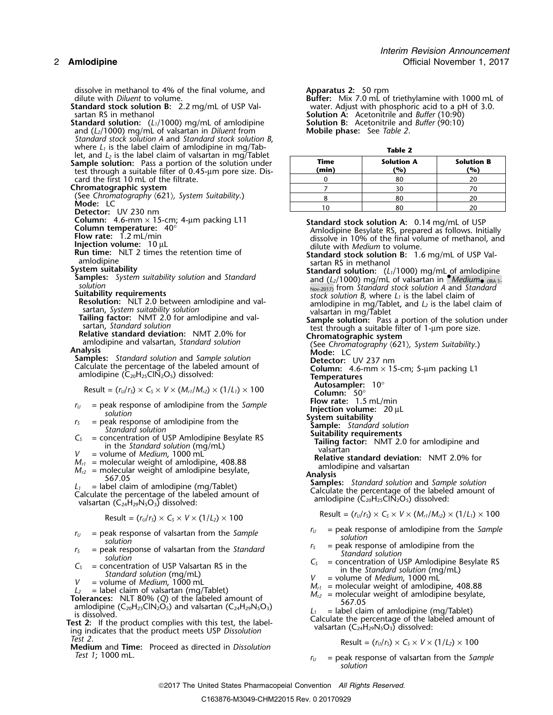dissolve in methanol to 4% of the final volume, and dilute with *Diluent* to volume.

**Standard stock solution B:** 2.2 mg/mL of USP Val-<br>sartan RS in methanol

**Standard solution:** (*L*<sub>1</sub>/1000) mg/mL of amlodipine **Solution B:** Acetonitrile and (*L*<sub>2</sub>/1000) mg/mL of valsartan in *Diluent* from **Mobile phase:** See Table 2. and (*L*<sub>2</sub>/1000) mg/mL of valsartan in *Diluent* from *Standard stock solution A* and *Standard stock solution B*, where *L*<sub>1</sub> is the label claim of amlodipine in mg/Tab-<br>let, and *L<sub>2</sub>* is the label claim of valsartan in mg/Tablet

**Sample solution:** Pass a portion of the solution under **(min) (%) (%)** test through a suitable filter of 0.45-µm pore size. Discard the first 10 mL of the filtrate.

## **Chromatographic system**

(See *Chromatography*  $\langle 621 \rangle$ *, System Suitability.)*<br> **Mode:** LC<br> **Detector:** UV 230 nm<br> **Column:** 4.6-mm × 15-cm; 4-µm packing L11<br> **Column temperature:** 40°

- 
- 

- 
- 

**Autosampler:**  $10^{\circ}$ <br>**Result = (***r***<sub>***U***</sub>/***r***<sub>S</sub>) × C<sub>***S***</sub> ×** *V* **× (***M***<sub>***r***</sub><sub>1</sub>/***M***<sub>***r***2</sub>) × (1/***L***<sub>1</sub>) × 100 <b>Column:** 50°

- 
- 
- 
- 

$$
M_{r1}
$$
 = molecular weight of amlodipine, 408.88

- 
- 
- 
- 
- 
- 
- 
- *Test 2*. Result = (*<sup>r</sup>U*/*<sup>r</sup>S*) <sup>×</sup> *<sup>C</sup><sup>S</sup>* <sup>×</sup> *<sup>V</sup>* <sup>×</sup> (1/*L2*) ×<sup>100</sup> **Medium** and **Time:** Proceed as directed in *Dissolution rest 1*; 1000 mL.

Apparatus 2: 50 rpm<br>**Buffer:** Mix 7.0 mL of triethylamine with 1000 mL of<br>water. Adjust with phosphoric acid to a pH of 3.0. Solution A: Acetonitrile and *Buffer* (10:90)<br>Solution B: Acetonitrile and *Buffer* (90:10)

| --------      |                          |                          |  |  |  |  |
|---------------|--------------------------|--------------------------|--|--|--|--|
| Time<br>(min) | <b>Solution A</b><br>(%) | <b>Solution B</b><br>(%) |  |  |  |  |
|               | 8С                       |                          |  |  |  |  |
|               |                          |                          |  |  |  |  |
|               |                          |                          |  |  |  |  |
|               |                          |                          |  |  |  |  |

Column: 4.6-mm × 15-cm; 4-µm packing L11<br>
Column temperature: 40°<br>
Flow rate: 1.2 mL/min and the enterpreserve and the standard stock solution A: 0.14 mg/mL of USP<br>
Flow rate: 1.2 mL/min and 10°<br>
Injection value: 10 µL<br>
R **Suitability requirements**<br> **Resolution:** NLT 2.0 between amlodipine and valued and state of the solution B, where  $L_1$  is the label claim of<br>
santan, System suitability solution<br>
santan, System suitability solution<br>
san Sample solution<br> **Sample solution**<br> **Sample solution**<br> **Sample solution:** Pass a portion of the solution under<br>
relative standard solution:<br>
Relative standard solution: NMT 2.0% for<br>
amologipine and valsartan, *Standard s Fo*  $F_s$  = peak response of amlodipine from the *Sample*<br>  $F_s$  = peak response of amlodipine from the **Sample**<br> *Standard solution*<br> *C<sub>S</sub>* = concentration of USP Amlodipine Besylate RS<br>
in the *Standard solution* (mg/mL Result =  $(r_U/r_S) \times C_S \times V \times (1/L_2) \times 100$ <br>Result =  $(r_U/r_S) \times C_S \times V \times (M_{r1}/M_{r2}) \times (1/L_1) \times 100$  $r_U$  = peak response of valsartan from the *Sample*<br>
solution<br>  $r_S$  = peak response of amlodipine from the *Sample*<br>
solution<br>
Solution<br>
c solution of USP Valsartan from the *Standard*<br>
solution of USP Valsartan RS in the

Result = 
$$
(r_U/r_S) \times C_S \times V \times (1/L_2) \times 100
$$

*solution*

2017 The United States Pharmacopeial Convention *All Rights Reserved.*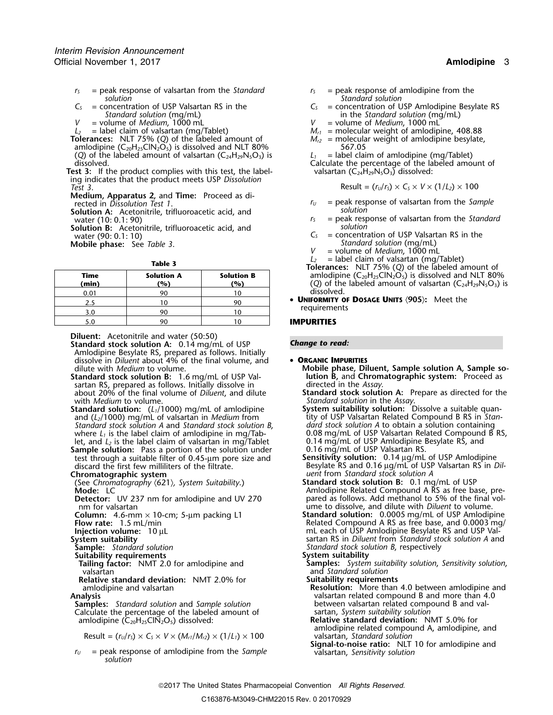- $r<sub>S</sub>$  = peak response of valsartan from the *Standard*  $r<sub>S</sub>$  = peak response of amlodipine from the *solution*
- *Standard solution* (mg/mL) in the *Standard solution* (mg/mL) in the *Standard solution* (mg/mL) = volume of *Medium*, 1000 mL
- 
- 
- **Tolerances:** NLT 75% (*Q*) of the labeled amount of *M*<sub>*r2*</sub> = molecular amlodipine (*C*<sub>20</sub>H<sub>23</sub>CIN<sub>2</sub>O<sub>5</sub>) is dissolved and NLT 80% 667.05 amlodipine  $(C_{20}H_{25}CIN_2O_5)$  is dissolved and NLT 80% 567.05<br>(Q) of the labeled amount of valsartan  $(C_{24}H_{29}N_5O_5)$  is  $L_1 =$  label claim of amlodipine (mg/Tablet)
- (*Q*) of the labeled amount of valsartan ( $C_{24}H_{29}N_5O_3$ ) is dissolved. **Test 3:** If the product complies with this test, the label-
- ing indicates that the product meets USP *Dissolution Test* 3. **Result = (** $r_v/r_s$ ) × C<sub>*S*</sub> × V × (1/*L*<sub>2</sub>) × 100
- **Medium, Apparatus 2,** and **Time:** Proceed as di-
- **Solution A:** Acetonitrile, trifluoroacetic acid, and *solution* vater (10: 0.1: 90) *r<sub>s</sub>* = peak resp
- **Solution B:** Acetonitrile, trifluoroacetic acid, and *S*  $C_s$  *S*
- 

|               |                          |                          | <b>TOICLATICS.</b> THET 7370 (C) OF the labeled all                                                       |
|---------------|--------------------------|--------------------------|-----------------------------------------------------------------------------------------------------------|
| Time<br>(min) | <b>Solution A</b><br>(%) | <b>Solution B</b><br>(%) | amlodipine $(C_{20}H_{25}CIN_2O_5)$ is dissolved and<br>(Q) of the labeled amount of valsartan $(C_{24})$ |
| 0.01          | 90                       |                          | dissolved.                                                                                                |
| 2.5           |                          | 90                       | • UNIFORMITY OF DOSAGE UNITS (905): Meet the                                                              |
| 3.0           | 90                       |                          | requirements                                                                                              |
| 5.0           | 90                       |                          | <b>IMPURITIES</b>                                                                                         |

**Diluent:** Acetonitrile and water (50:50)

**Standard stock solution A:** 0.14 mg/mL of USP **Change to read:** Amlodipine Besylate RS, prepared as follows. Initially dissolve in *Diluent* about 4% of the final volume, and • **ORGANIC IMPURITIES**

- **Standard stock solution B:** 1.6 mg/mL of USP Val-<br>sartan RS, prepared as follows. Initially dissolve in **Proceed** in the Assay sartan RS, prepared as follows. Initially dissolve in directed in the *Assay.*<br>about 20% of the final volume of *Diluent*, and dilute **Standard stock solution A:** Prepare as directed for the about 20% of the final volume of *Diluent*, and dilute
- **Standard solution:** (*L*<sub>1</sub>/1000) mg/mL of amlodipine **System suitability solution:** Dissolve a suitable quan-<br>and (*L*<sub>2</sub>/1000) mg/mL of valsartan in *Medium* from tity of USP Valsartan Related Compound B RS in Stanand (*L*<sub>2</sub>/1000) mg/mL of valsartan in *Medium* from *Standard stock solution A* and *Standard stock solution B*, where  $L_1$  is the label claim of amilodipine in mg/Tab-

**Sample solution:** Pass a portion of the solution under  $\qquad 0.16$  mg/mL of USP Valsartan RS.<br>test through a suitable filter of 0.45-µm pore size and **Sensitivity solution:** 0.14 µg/mL of USP Amlodipine test through a suitable filter of 0.45-<sub>µ</sub>m pore size and discard the first few milliliters of the filtrate.

(See Chromatography  $\langle 621 \rangle$ , System Suitability.) **Mode:** LC

**Detector:** UV 237 nm for amlodipine and UV 270 nm for valsartan

- 
- 
- 

**Suitability requirements**<br>**Tailing factor:** NMT 2.0 for amlodipine and valsartan and *Standard solution*

**Relative standard deviation:** NMT 2.0% for **Suitability requirements**

**Samples:** *Standard solution* and *Sample solution* between valsartan related component compound B and val-<br>Calculate the percentage of the labeled amount of sartan, *System suitability solution* Calculate the percentage of the labeled amount of

Result =  $(r_v/r_s) \times C_s \times V \times (M_{r1}/M_{r2}) \times (1/L_1) \times 100$  valsartan, Standard solution

*r*<sub>*U*</sub> = peak response of amlodipine from the *Sample solution* 

- 
- *solution Standard solution*
- $C_s$  = concentration of USP Valsartan RS in the  $C_s$  = concentration of USP Amlodipine Besylate RS<br>Standard solution (mg/mL) in the *Standard solution* (mg/mL)
- *V* = volume of *Medium*, 1000 mL<br>  $L_2$  = label claim of valsartan (mg/Tablet)  $M_{r1}$  = molecular weight of amlodip
	- $M_{r1}$  = molecular weight of amlodipine, 408.88  $M_{r2}$  = molecular weight of amlodipine besylate,
	-

Calculate the percentage of the labeled amount of valsartan  $(C_{24}H_{29}N_5O_3)$  dissolved:

$$
Result = (r_U/r_S) \times C_S \times V \times (1/L_2) \times 100
$$

- $r_U$  = peak response of valsartan from the *Sample*
- = peak response of valsartan from the *Standard*<br>*solution*
- water (90: 0.1: 10)<br>
Water (90: 0.1: 10)<br>
Mobile phase: See Table 3.<br>
Mobile phase: See Table 3.
	- **Mobile phase:** *Standard solution* (mg/mL) See *Table 3*. *<sup>V</sup>* = volume of *Medium*, <sup>1000</sup> mL
	-
	- *<sup>L</sup><sup>2</sup>* = label claim of valsartan (mg/Tablet) **Table 3 Tolerances:** NLT 75% (*Q*) of the labeled amount of amlodipine (C<sub>20</sub>H<sub>25</sub>ClN<sub>2</sub>O<sub>5</sub>) is dissolved and NLT 80% **(min) (%) (%)** (*Q*) of the labeled amount of valsartan (C24H29N5O3) is dissolved.
		- requirements

### 5.0 90 10 **IMPURITIES**

- dilute with *Medium* to volume.<br> **Mobile phase, Diluent, Sample solution A, Sample so-<br>
<b>Mobile phase, Diluent, Sample solution A, Sample so-**<br> **Mobile phase, Diluent, Sample solution A, Sample so-**
- with *Medium* to volume.<br> **Standard solution** in the *Assay*.<br> **System suitability solution:** Dissolve a suitable quantition in the *Assay*.
- dard stock solution A to obtain a solution containing<br>0.08 mg/mL of USP Valsartan Related Compound B RS,<br>0.14 mg/mL of USP Amlodipine Besylate RS, and let, and *L<sub>2</sub>* is the label claim of valsartan in mg/Tablet 0.14 mg/mL of USP Amlodipine is an apertion of the solution under 0.16 mg/mL of USP Valsartan RS.
- Besylate RS and 0.16 µg/mL of USP Valsartan RS in *Dil-***Chromatographic system**<br>(See Chromatography (621), System Suitability.) *Standard stock solution B:* 0.1 mg/mL of USP
	- Amlodipine Related Compound A RS as free base, pre-<br>pared as follows. Add methanol to 5% of the final vol-
- nm for valsartan ume to dissolve, and dilute with *Diluent* to volume.<br> **Column:** 4.6-mm × 10-cm; 5-µm packing L1 **Standard solution:** 0.0005 mg/mL of USP Amlodip<br>
Related Compound A RS as free base, and 0.0003 r **Column:** 4.6-mm × 10-cm; 5-µm packing L1 **Standard solution:** 0.0005 mg/mL of USP Amlodipine **Flow rate:** 1.5 mL/min Related Compound A RS as free base, and 0.0003 mg/ **Injection volume:** 10 µL minimum and the multime of USP Amlodipine Besylate RS and USP Val-<br>System suitability and the same of the same of the same of the same of the same of the same of the same of the s **System suitability** sartan RS in *Diluent* from *Standard stock solution A* and **Standard stock solution A** and **Standard stock solution A** and **Standard stock solution B**, respectively **Sample:** *Standard solution Standard stock solution B*, respectively
	-
	- **Samples:** System suitability solution, Sensitivity solution,
	-
- amlodipine and valsartan **Resolution:** More than 4.0 between amlodipine and valsartan related compound B and more than 4.0 between valsartan related compound B and val
	- amlodipine (C<sub>20</sub>H<sub>25</sub>ClN<sub>2</sub>O<sub>5</sub>) dissolved: **Relative standard deviation:** NMT 5.0% for amlodipine related compound A, amlodipine, and

**Signal-to-noise ratio:** NLT 10 for amlodipine and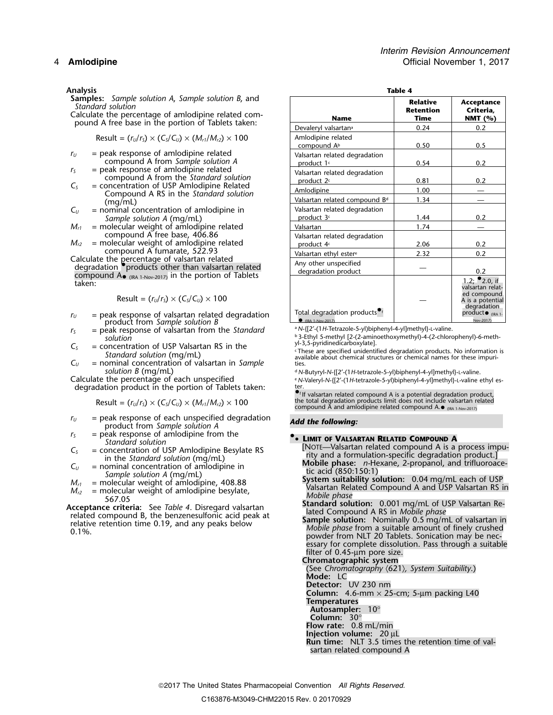**Analysis**<br>**Samples:** Sample solution A, Sample solution B, and **Table 4** 

Result = 
$$
(r_U/r_S) \times (C_S/C_U) \times (M_{r1}/M_{r2}) \times 100
$$
 | Amlodipine related

- $r_U$  = peak response of amlodipine related compound A from *Sample solution A* = peak response of amlodipine related
- 
- 
- $C_U$  = nominal concentration of amlodipine in Sample solution A (mg/mL)
- $M_{r1}$  = molecular weight of amlodipine related compound  $\overline{A}$  free base, 406.86
- $M_{r2}$  = molecular weight of amlodipine related compound A fumarate, 522.93
- Calculate the percentage of valsartan related<br>degradation •.products other than valsartan related<br>compound  $A_{\bullet}$   $_{(IRA 1-Nov-2017)}$  in the portion of Tablets<br>taken: compound  $A_{\bullet}$  (IRA 1-Nov-2017) in the portion of Tablets

$$
Result = (r_U/r_S) \times (C_S/C_U) \times 100
$$

- $r_U$  = peak response of valsartan related degradation product from Sample solution B
- *n*<sub>5</sub> = peak response of valsartan from the *Standard* solution
- $C_5$  = concentration of USP Valsartan RS in the *Standard solution* (mg/mL)
- solution B (mg/mL)<br>Calculate the percentage of each unspecified<br>e N-Valeryl-N-{[2′-(1*H*-tetrazole-5-yl)biphenyl-4-yl]methyl}-L-valine (N-Salculate the percentage of each unspecified

degradation product in the portion of Tablets taken:

- *<sup>r</sup><sup>U</sup>* = peak response of each unspecified degradation *Add the following:* product from *Sample solution A*
- *<sup>r</sup><sup>S</sup>* = peak response of amlodipine from the **•**

- 
- 
- 

| Samples: Sample solution A, Sample solution B, and<br>Standard solution<br>Calculate the percentage of amlodipine related com-                                                                                                  | <b>Name</b>                                                                     | <b>Relative</b><br><b>Retention</b><br>Time | Acceptance<br>Criteria,<br><b>NMT</b> (%)                                                                                                 |  |
|---------------------------------------------------------------------------------------------------------------------------------------------------------------------------------------------------------------------------------|---------------------------------------------------------------------------------|---------------------------------------------|-------------------------------------------------------------------------------------------------------------------------------------------|--|
| pound A free base in the portion of Tablets taken:                                                                                                                                                                              | Devaleryl valsartan <sup>a</sup>                                                | 0.24                                        | 0.2                                                                                                                                       |  |
| Result = $(r_U/r_S) \times (C_S/C_U) \times (M_{r1}/M_{r2}) \times 100$                                                                                                                                                         | Amlodipine related<br>compound A <sup>b</sup>                                   | 0.50                                        | 0.5                                                                                                                                       |  |
| $=$ peak response of amlodipine related<br>$r_U$<br>compound A from Sample solution A                                                                                                                                           | Valsartan related degradation<br>product 1c                                     | 0.54                                        | 0.2                                                                                                                                       |  |
| = peak response of amlodipine related<br>$r_{\rm S}$<br>compound A from the Standard solution                                                                                                                                   | Valsartan related degradation<br>product 2c                                     | 0.81                                        | 0.2                                                                                                                                       |  |
| $C_{S}$<br>= concentration of USP Amlodipine Related<br>Compound A RS in the Standard solution                                                                                                                                  | Amlodipine                                                                      | 1.00                                        |                                                                                                                                           |  |
| (mq/mL)                                                                                                                                                                                                                         | Valsartan related compound Bd                                                   | 1.34                                        |                                                                                                                                           |  |
| $\mathsf{C}_U$<br>$=$ nominal concentration of amlodipine in<br>Sample solution A (mg/mL)                                                                                                                                       | Valsartan related degradation<br>product 3c                                     | 1.44                                        | 0.2                                                                                                                                       |  |
| $M_{r1}$<br>= molecular weight of amlodipine related                                                                                                                                                                            | Valsartan                                                                       | 1.74                                        |                                                                                                                                           |  |
| compound A free base, 406.86<br>$M_{r2}$<br>= molecular weight of amlodipine related                                                                                                                                            | Valsartan related degradation<br>product 4c                                     | 2.06                                        | 0.2                                                                                                                                       |  |
| compound A fumarate, 522.93                                                                                                                                                                                                     | Valsartan ethyl ester <sup>e</sup>                                              | 2.32                                        | 0.2                                                                                                                                       |  |
| Calculate the percentage of valsartan related<br>degradation <i>products</i> other than valsartan related                                                                                                                       | Any other unspecified<br>degradation product                                    |                                             | 0.2                                                                                                                                       |  |
| compound $A_{\bullet}$ (IRA 1-Nov-2017) in the portion of Tablets<br>taken:<br>Result = $(r_U/r_s) \times (C_s/C_u) \times 100$<br>= peak response of valsartan related degradation<br>$r_U$<br>salvat forma Consola relativo D | Total degradation products <sup>of</sup><br>$(10.4, 1 \text{ N}) \cdot (201.7)$ |                                             | 1.2; $^{\bullet}$ 2.0, if<br>valsartan relat-<br>ed compound<br>A is a potential<br>degradation<br>$product\bullet$ (IRA 1-<br>Nov. 2017) |  |

a N-{[2'-(1H-Tetrazole-5-yl)biphenyl-4-yl]methyl}-L-valine.

<sup>b</sup> 3-Ethyl 5-methyl [2-(2-aminoethoxymethyl)-4-(2-chlorophenyl)-6-meth-<br>yl-3,5-pyridinedicarboxylate].

 $C_5$  = Concernent about to the content of validation (mg/mL)<br>
= content of the content of validation is<br>
these are specified unidentified degradation products. No information is<br>
of the contentration of validation in Sam

e N-Valeryl-N-{[2'-(1H-tetrazole-5-yl)biphenyl-4-yl]methyl}-L-valine ethyl es-

**Example 18 Contract Contract Contract Contract Contract Contract Contract Contract Contract Contract Contract Contract Contract Contract Contract Contract Contract Contract Contract Contract Contract Contract Contract Co** compound  $\overline{A}$  and amlodipine related compound  $\overline{A}$ . (IRA 1-Nov-2017)

From Standard solution<br>  $C_5$  = concentration of USP Amlodipine Besylate RS<br>
in the Standard solution (mg/mL)<br>
in the standard solution (mg/mL)<br>
in the standard solution (mg/mL)<br>  $M_{r1}$  = molecular weight of amlodipine,

powder from NLT 20 Tablets. Sonication may be necessary for complete dissolution. Pass through a suitable filter of 0.45-µm pore size.

**Chromatographic system**

(See *Chromatography* 〈621〉*, System Suitability*.)

**Mode:** LC

**Detector:** UV 230 nm

**Column:** 4.6-mm  $\times$  25-cm; 5-µm packing L40

**Temperatures**

- **Autosampler:** 10°
- **Column:** 30° **Flow rate:** 0.8 mL/min
- 
- 
- **Injection volume:** 20 µL **Run time:** NLT 3.5 times the retention time of valsartan related compound A

2017 The United States Pharmacopeial Convention *All Rights Reserved.*